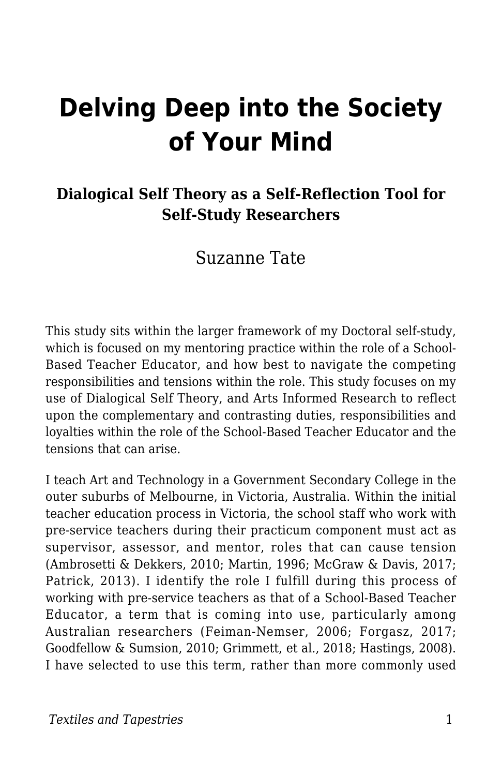# **Delving Deep into the Society of Your Mind**

#### **Dialogical Self Theory as a Self-Reflection Tool for Self-Study Researchers**

#### Suzanne Tate

This study sits within the larger framework of my Doctoral self-study, which is focused on my mentoring practice within the role of a School-Based Teacher Educator, and how best to navigate the competing responsibilities and tensions within the role. This study focuses on my use of Dialogical Self Theory, and Arts Informed Research to reflect upon the complementary and contrasting duties, responsibilities and loyalties within the role of the School-Based Teacher Educator and the tensions that can arise.

I teach Art and Technology in a Government Secondary College in the outer suburbs of Melbourne, in Victoria, Australia. Within the initial teacher education process in Victoria, the school staff who work with pre-service teachers during their practicum component must act as supervisor, assessor, and mentor, roles that can cause tension (Ambrosetti & Dekkers, 2010; Martin, 1996; McGraw & Davis, 2017; Patrick, 2013). I identify the role I fulfill during this process of working with pre-service teachers as that of a School-Based Teacher Educator, a term that is coming into use, particularly among Australian researchers (Feiman-Nemser, 2006; Forgasz, 2017; Goodfellow & Sumsion, 2010; Grimmett, et al., 2018; Hastings, 2008). I have selected to use this term, rather than more commonly used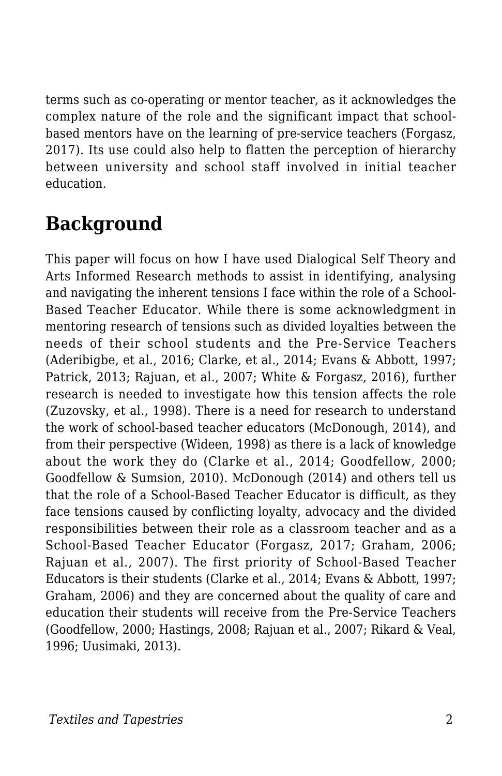terms such as co-operating or mentor teacher, as it acknowledges the complex nature of the role and the significant impact that schoolbased mentors have on the learning of pre-service teachers (Forgasz, 2017). Its use could also help to flatten the perception of hierarchy between university and school staff involved in initial teacher education.

## **Background**

This paper will focus on how I have used Dialogical Self Theory and Arts Informed Research methods to assist in identifying, analysing and navigating the inherent tensions I face within the role of a School-Based Teacher Educator. While there is some acknowledgment in mentoring research of tensions such as divided loyalties between the needs of their school students and the Pre-Service Teachers (Aderibigbe, et al., 2016; Clarke, et al., 2014; Evans & Abbott, 1997; Patrick, 2013; Rajuan, et al., 2007; White & Forgasz, 2016), further research is needed to investigate how this tension affects the role (Zuzovsky, et al., 1998). There is a need for research to understand the work of school-based teacher educators (McDonough, 2014), and from their perspective (Wideen, 1998) as there is a lack of knowledge about the work they do (Clarke et al., 2014; Goodfellow, 2000; Goodfellow & Sumsion, 2010). McDonough (2014) and others tell us that the role of a School-Based Teacher Educator is difficult, as they face tensions caused by conflicting loyalty, advocacy and the divided responsibilities between their role as a classroom teacher and as a School-Based Teacher Educator (Forgasz, 2017; Graham, 2006; Rajuan et al., 2007). The first priority of School-Based Teacher Educators is their students (Clarke et al., 2014; Evans & Abbott, 1997; Graham, 2006) and they are concerned about the quality of care and education their students will receive from the Pre-Service Teachers (Goodfellow, 2000; Hastings, 2008; Rajuan et al., 2007; Rikard & Veal, 1996; Uusimaki, 2013).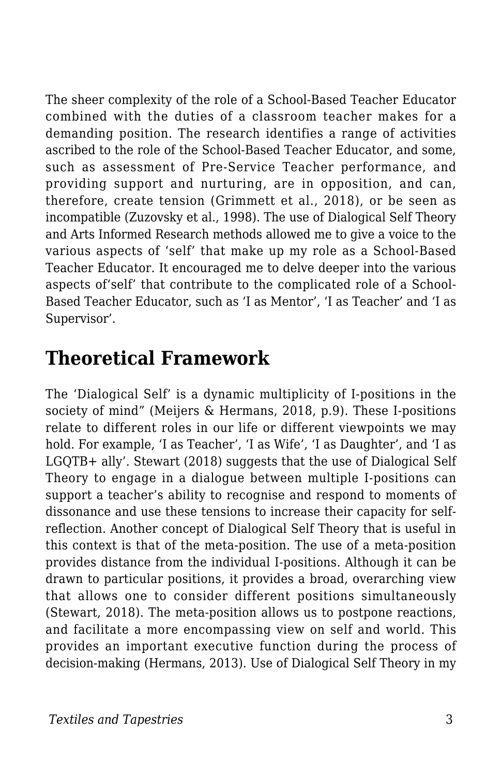The sheer complexity of the role of a School-Based Teacher Educator combined with the duties of a classroom teacher makes for a demanding position. The research identifies a range of activities ascribed to the role of the School-Based Teacher Educator, and some, such as assessment of Pre-Service Teacher performance, and providing support and nurturing, are in opposition, and can, therefore, create tension (Grimmett et al., 2018), or be seen as incompatible (Zuzovsky et al., 1998). The use of Dialogical Self Theory and Arts Informed Research methods allowed me to give a voice to the various aspects of 'self' that make up my role as a School-Based Teacher Educator. It encouraged me to delve deeper into the various aspects of'self' that contribute to the complicated role of a School-Based Teacher Educator, such as 'I as Mentor', 'I as Teacher' and 'I as Supervisor'.

### **Theoretical Framework**

The 'Dialogical Self' is a dynamic multiplicity of I-positions in the society of mind" (Meijers & Hermans, 2018, p.9). These I-positions relate to different roles in our life or different viewpoints we may hold. For example, 'I as Teacher', 'I as Wife', 'I as Daughter', and 'I as LGQTB+ ally'. Stewart (2018) suggests that the use of Dialogical Self Theory to engage in a dialogue between multiple I-positions can support a teacher's ability to recognise and respond to moments of dissonance and use these tensions to increase their capacity for selfreflection. Another concept of Dialogical Self Theory that is useful in this context is that of the meta-position. The use of a meta-position provides distance from the individual I-positions. Although it can be drawn to particular positions, it provides a broad, overarching view that allows one to consider different positions simultaneously (Stewart, 2018). The meta-position allows us to postpone reactions, and facilitate a more encompassing view on self and world. This provides an important executive function during the process of decision-making (Hermans, 2013). Use of Dialogical Self Theory in my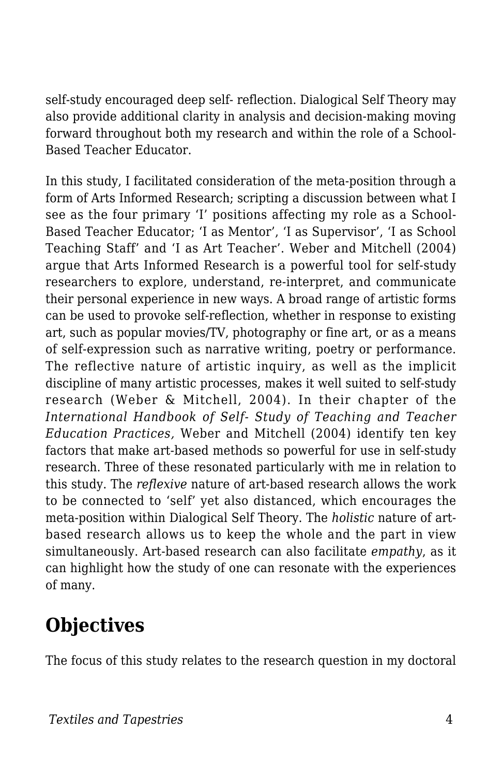self-study encouraged deep self- reflection. Dialogical Self Theory may also provide additional clarity in analysis and decision-making moving forward throughout both my research and within the role of a School-Based Teacher Educator.

In this study, I facilitated consideration of the meta-position through a form of Arts Informed Research; scripting a discussion between what I see as the four primary 'I' positions affecting my role as a School-Based Teacher Educator; 'I as Mentor', 'I as Supervisor', 'I as School Teaching Staff' and 'I as Art Teacher'. Weber and Mitchell (2004) argue that Arts Informed Research is a powerful tool for self-study researchers to explore, understand, re-interpret, and communicate their personal experience in new ways. A broad range of artistic forms can be used to provoke self-reflection, whether in response to existing art, such as popular movies/TV, photography or fine art, or as a means of self-expression such as narrative writing, poetry or performance. The reflective nature of artistic inquiry, as well as the implicit discipline of many artistic processes, makes it well suited to self-study research (Weber & Mitchell, 2004). In their chapter of the *International Handbook of Self- Study of Teaching and Teacher Education Practices,* Weber and Mitchell (2004) identify ten key factors that make art-based methods so powerful for use in self-study research. Three of these resonated particularly with me in relation to this study. The *reflexive* nature of art-based research allows the work to be connected to 'self' yet also distanced, which encourages the meta-position within Dialogical Self Theory. The *holistic* nature of artbased research allows us to keep the whole and the part in view simultaneously. Art-based research can also facilitate *empathy*, as it can highlight how the study of one can resonate with the experiences of many.

# **Objectives**

The focus of this study relates to the research question in my doctoral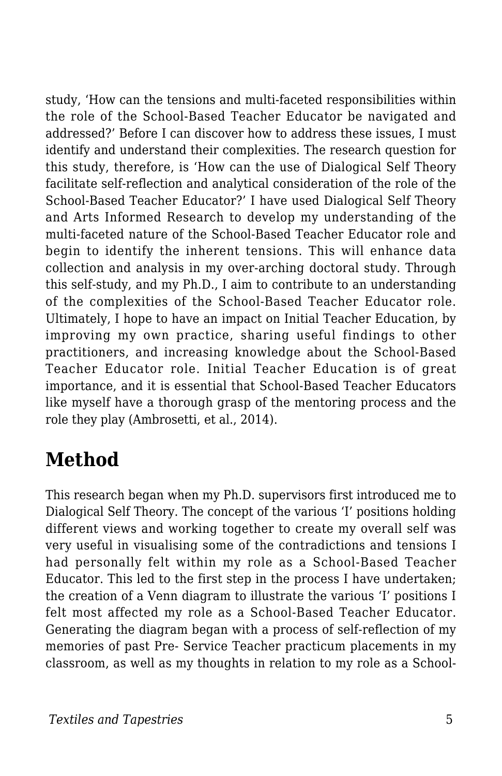study, 'How can the tensions and multi-faceted responsibilities within the role of the School-Based Teacher Educator be navigated and addressed?' Before I can discover how to address these issues, I must identify and understand their complexities. The research question for this study, therefore, is 'How can the use of Dialogical Self Theory facilitate self-reflection and analytical consideration of the role of the School-Based Teacher Educator?' I have used Dialogical Self Theory and Arts Informed Research to develop my understanding of the multi-faceted nature of the School-Based Teacher Educator role and begin to identify the inherent tensions. This will enhance data collection and analysis in my over-arching doctoral study. Through this self-study, and my Ph.D., I aim to contribute to an understanding of the complexities of the School-Based Teacher Educator role. Ultimately, I hope to have an impact on Initial Teacher Education, by improving my own practice, sharing useful findings to other practitioners, and increasing knowledge about the School-Based Teacher Educator role. Initial Teacher Education is of great importance, and it is essential that School-Based Teacher Educators like myself have a thorough grasp of the mentoring process and the role they play (Ambrosetti, et al., 2014).

### **Method**

This research began when my Ph.D. supervisors first introduced me to Dialogical Self Theory. The concept of the various 'I' positions holding different views and working together to create my overall self was very useful in visualising some of the contradictions and tensions I had personally felt within my role as a School-Based Teacher Educator. This led to the first step in the process I have undertaken; the creation of a Venn diagram to illustrate the various 'I' positions I felt most affected my role as a School-Based Teacher Educator. Generating the diagram began with a process of self-reflection of my memories of past Pre- Service Teacher practicum placements in my classroom, as well as my thoughts in relation to my role as a School-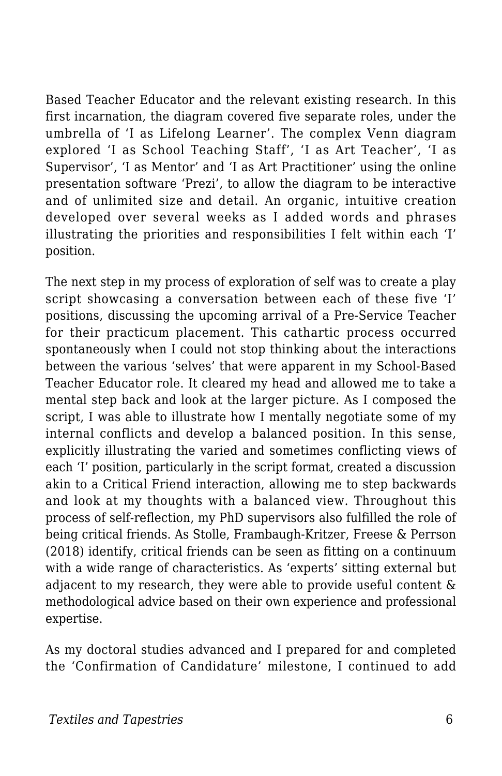Based Teacher Educator and the relevant existing research. In this first incarnation, the diagram covered five separate roles, under the umbrella of 'I as Lifelong Learner'. The complex Venn diagram explored 'I as School Teaching Staff', 'I as Art Teacher', 'I as Supervisor', 'I as Mentor' and 'I as Art Practitioner' using the online presentation software 'Prezi', to allow the diagram to be interactive and of unlimited size and detail. An organic, intuitive creation developed over several weeks as I added words and phrases illustrating the priorities and responsibilities I felt within each 'I' position.

The next step in my process of exploration of self was to create a play script showcasing a conversation between each of these five 'I' positions, discussing the upcoming arrival of a Pre-Service Teacher for their practicum placement. This cathartic process occurred spontaneously when I could not stop thinking about the interactions between the various 'selves' that were apparent in my School-Based Teacher Educator role. It cleared my head and allowed me to take a mental step back and look at the larger picture. As I composed the script, I was able to illustrate how I mentally negotiate some of my internal conflicts and develop a balanced position. In this sense, explicitly illustrating the varied and sometimes conflicting views of each 'I' position, particularly in the script format, created a discussion akin to a Critical Friend interaction, allowing me to step backwards and look at my thoughts with a balanced view. Throughout this process of self-reflection, my PhD supervisors also fulfilled the role of being critical friends. As Stolle, Frambaugh-Kritzer, Freese & Perrson (2018) identify, critical friends can be seen as fitting on a continuum with a wide range of characteristics. As 'experts' sitting external but adjacent to my research, they were able to provide useful content & methodological advice based on their own experience and professional expertise.

As my doctoral studies advanced and I prepared for and completed the 'Confirmation of Candidature' milestone, I continued to add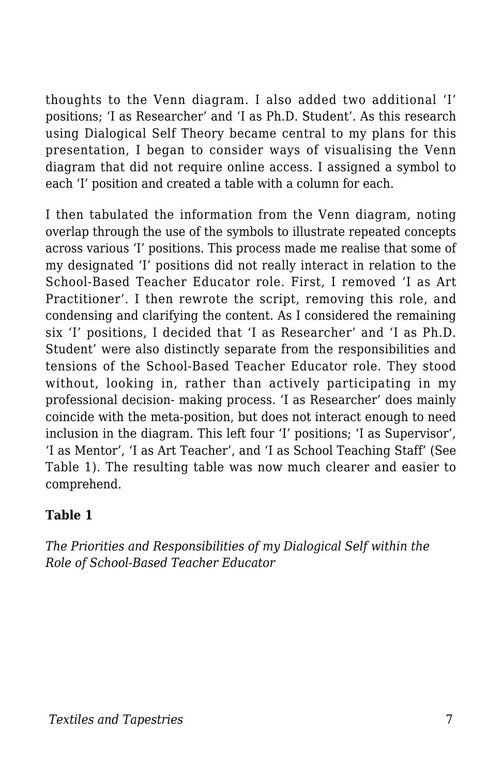thoughts to the Venn diagram. I also added two additional 'I' positions; 'I as Researcher' and 'I as Ph.D. Student'. As this research using Dialogical Self Theory became central to my plans for this presentation, I began to consider ways of visualising the Venn diagram that did not require online access. I assigned a symbol to each 'I' position and created a table with a column for each.

I then tabulated the information from the Venn diagram, noting overlap through the use of the symbols to illustrate repeated concepts across various 'I' positions. This process made me realise that some of my designated 'I' positions did not really interact in relation to the School-Based Teacher Educator role. First, I removed 'I as Art Practitioner'. I then rewrote the script, removing this role, and condensing and clarifying the content. As I considered the remaining six 'I' positions, I decided that 'I as Researcher' and 'I as Ph.D. Student' were also distinctly separate from the responsibilities and tensions of the School-Based Teacher Educator role. They stood without, looking in, rather than actively participating in my professional decision- making process. 'I as Researcher' does mainly coincide with the meta-position, but does not interact enough to need inclusion in the diagram. This left four 'I' positions; 'I as Supervisor', 'I as Mentor', 'I as Art Teacher', and 'I as School Teaching Staff' (See Table 1). The resulting table was now much clearer and easier to comprehend.

#### **Table 1**

*The Priorities and Responsibilities of my Dialogical Self within the Role of School-Based Teacher Educator*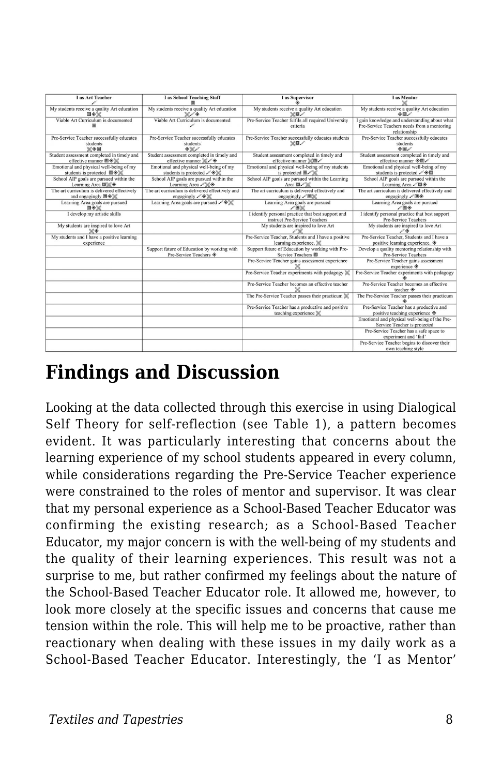| I as Art Teacher                                                                              | <b>I</b> as School Teaching Staff                                                             | I as Supervisor                                                                     | I as Mentor                                                                                                  |
|-----------------------------------------------------------------------------------------------|-----------------------------------------------------------------------------------------------|-------------------------------------------------------------------------------------|--------------------------------------------------------------------------------------------------------------|
| My students receive a quality Art education<br>国令家                                            | My students receive a quality Art education<br>%10                                            | My students receive a quality Art education<br>×m                                   | My students receive a quality Art education<br>◆同                                                            |
| Viable Art Curriculum is documented<br>圆                                                      | Viable Art Curriculum is documented                                                           | Pre-Service Teacher fulfils all required University<br>criteria                     | I gain knowledge and understanding about what<br>Pre-Service Teachers needs from a mentoring<br>relationship |
| Pre-Service Teacher successfully educates<br>students<br>※◆国                                  | Pre-Service Teacher successfully educates<br>students<br>$\Diamond\%$                         | Pre-Service Teacher successfully educates students<br>$X \boxtimes Z$               | Pre-Service Teacher successfully educates<br>students<br>$\Diamond$ <sub>D</sub>                             |
| Student assessment completed in timely and<br>effective manner 图◆※                            | Student assessment completed in timely and<br>effective manner X                              | Student assessment completed in timely and<br>effective manner ※回                   | Student assessment completed in timely and<br>effective manner ◈ 图                                           |
| Emotional and physical well-being of my<br>students is protected 图令》                          | Emotional and physical well-being of my<br>students is protected ∕ ♦ %                        | Emotional and physical well-being of my students<br>is protected 图                  | Emotional and physical well-being of my<br>students is protected /◆图                                         |
| School AIP goals are pursued within the<br>Learning Area 图》《◆                                 | School AIP goals are pursued within the<br>Learning Area / X &                                | School AIP goals are pursued within the Learning<br>Area <b>E</b>                   | School AIP goals are pursued within the<br>Learning Area / 图令                                                |
| The art curriculum is delivered effectively<br>and engagingly $\boxplus \diamond \mathcal{K}$ | The art curriculum is delivered effectively and<br>engagingly $\mathscr{O}\otimes\mathscr{C}$ | The art curriculum is delivered effectively and<br>engagingly ∕ 2%                  | The art curriculum is delivered effectively and<br>engagingly / 图令                                           |
| Learning Area goals are pursued<br>国令米                                                        | Learning Area goals are pursued $\mathcal{L} \otimes \mathcal{K}$                             | Learning Area goals are pursued<br>10 <sup>o</sup>                                  | Learning Area goals are pursued<br>$\sqrt{8}$                                                                |
| I develop my artistic skills                                                                  |                                                                                               | I identify personal practice that best support and<br>instruct Pre-Service Teachers | I identify personal practice that best support<br>Pre-Service Teachers                                       |
| My students are inspired to love Art<br>$\times$                                              |                                                                                               | My students are inspired to love Art                                                | My students are inspired to love Art<br>06                                                                   |
| My students and I have a positive learning<br>experience                                      |                                                                                               | Pre-Service Teacher, Students and I have a positive<br>learning experience. X       | Pre-Service Teacher. Students and I have a<br>positive learning experience.                                  |
|                                                                                               | Support future of Education by working with<br>Pre-Service Teachers $\otimes$                 | Support future of Education by working with Pre-<br>Service Teachers 圆              | Develop a quality mentoring relationship with<br>Pre-Service Teachers                                        |
|                                                                                               |                                                                                               | Pre-Service Teacher gains assessment experience                                     | Pre-Service Teacher gains assessment<br>experience $\textcircled{*}$                                         |
|                                                                                               |                                                                                               | Pre-Service Teacher experiments with pedagogy X                                     | Pre-Service Teacher experiments with pedagogy                                                                |
|                                                                                               |                                                                                               | Pre-Service Teacher becomes an effective teacher                                    | Pre-Service Teacher becomes an effective<br>teacher $\otimes$                                                |
|                                                                                               |                                                                                               | The Pre-Service Teacher passes their practicum X                                    | The Pre-Service Teacher passes their practicum                                                               |
|                                                                                               |                                                                                               | Pre-Service Teacher has a productive and positive<br>teaching experience X          | Pre-Service Teacher has a productive and<br>positive teaching experience $\otimes$                           |
|                                                                                               |                                                                                               |                                                                                     | Emotional and physical well-being of the Pre-<br>Service Teacher is protected                                |
|                                                                                               |                                                                                               |                                                                                     | Pre-Service Teacher has a safe space to<br>experiment and 'fail'                                             |
|                                                                                               |                                                                                               |                                                                                     | Pre-Service Teacher begins to discover their<br>own teaching style                                           |

#### **Findings and Discussion**

Looking at the data collected through this exercise in using Dialogical Self Theory for self-reflection (see Table 1), a pattern becomes evident. It was particularly interesting that concerns about the learning experience of my school students appeared in every column, while considerations regarding the Pre-Service Teacher experience were constrained to the roles of mentor and supervisor. It was clear that my personal experience as a School-Based Teacher Educator was confirming the existing research; as a School-Based Teacher Educator, my major concern is with the well-being of my students and the quality of their learning experiences. This result was not a surprise to me, but rather confirmed my feelings about the nature of the School-Based Teacher Educator role. It allowed me, however, to look more closely at the specific issues and concerns that cause me tension within the role. This will help me to be proactive, rather than reactionary when dealing with these issues in my daily work as a School-Based Teacher Educator. Interestingly, the 'I as Mentor'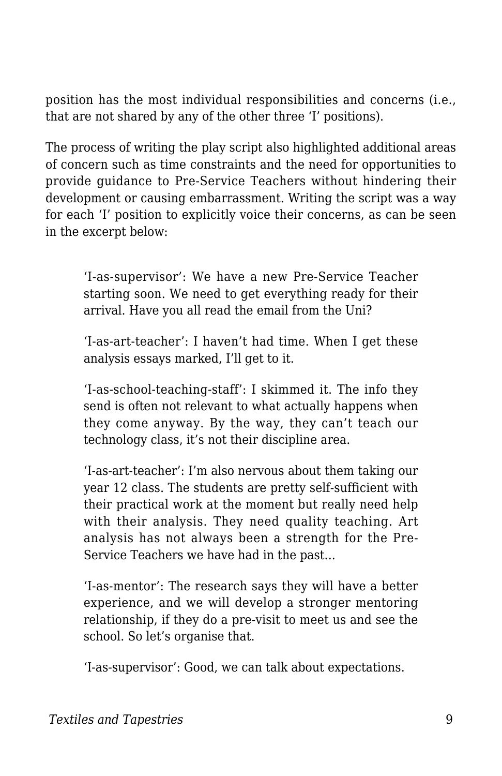position has the most individual responsibilities and concerns (i.e., that are not shared by any of the other three 'I' positions).

The process of writing the play script also highlighted additional areas of concern such as time constraints and the need for opportunities to provide guidance to Pre-Service Teachers without hindering their development or causing embarrassment. Writing the script was a way for each 'I' position to explicitly voice their concerns, as can be seen in the excerpt below:

'I-as-supervisor': We have a new Pre-Service Teacher starting soon. We need to get everything ready for their arrival. Have you all read the email from the Uni?

'I-as-art-teacher': I haven't had time. When I get these analysis essays marked, I'll get to it.

'I-as-school-teaching-staff': I skimmed it. The info they send is often not relevant to what actually happens when they come anyway. By the way, they can't teach our technology class, it's not their discipline area.

'I-as-art-teacher': I'm also nervous about them taking our year 12 class. The students are pretty self-sufficient with their practical work at the moment but really need help with their analysis. They need quality teaching. Art analysis has not always been a strength for the Pre-Service Teachers we have had in the past...

'I-as-mentor': The research says they will have a better experience, and we will develop a stronger mentoring relationship, if they do a pre-visit to meet us and see the school. So let's organise that.

'I-as-supervisor': Good, we can talk about expectations.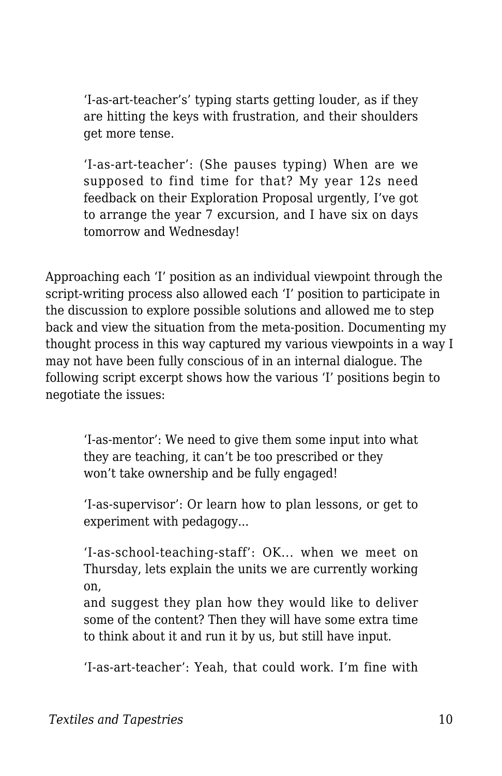'I-as-art-teacher's' typing starts getting louder, as if they are hitting the keys with frustration, and their shoulders get more tense.

'I-as-art-teacher': (She pauses typing) When are we supposed to find time for that? My year 12s need feedback on their Exploration Proposal urgently, I've got to arrange the year 7 excursion, and I have six on days tomorrow and Wednesday!

Approaching each 'I' position as an individual viewpoint through the script-writing process also allowed each 'I' position to participate in the discussion to explore possible solutions and allowed me to step back and view the situation from the meta-position. Documenting my thought process in this way captured my various viewpoints in a way I may not have been fully conscious of in an internal dialogue. The following script excerpt shows how the various 'I' positions begin to negotiate the issues:

'I-as-mentor': We need to give them some input into what they are teaching, it can't be too prescribed or they won't take ownership and be fully engaged!

'I-as-supervisor': Or learn how to plan lessons, or get to experiment with pedagogy...

'I-as-school-teaching-staff': OK... when we meet on Thursday, lets explain the units we are currently working on,

and suggest they plan how they would like to deliver some of the content? Then they will have some extra time to think about it and run it by us, but still have input.

'I-as-art-teacher': Yeah, that could work. I'm fine with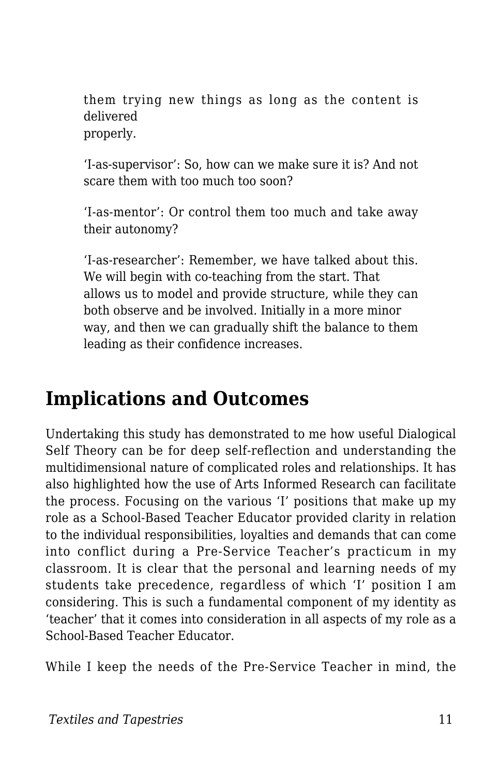them trying new things as long as the content is delivered properly.

'I-as-supervisor': So, how can we make sure it is? And not scare them with too much too soon?

'I-as-mentor': Or control them too much and take away their autonomy?

'I-as-researcher': Remember, we have talked about this. We will begin with co-teaching from the start. That allows us to model and provide structure, while they can both observe and be involved. Initially in a more minor way, and then we can gradually shift the balance to them leading as their confidence increases.

### **Implications and Outcomes**

Undertaking this study has demonstrated to me how useful Dialogical Self Theory can be for deep self-reflection and understanding the multidimensional nature of complicated roles and relationships. It has also highlighted how the use of Arts Informed Research can facilitate the process. Focusing on the various 'I' positions that make up my role as a School-Based Teacher Educator provided clarity in relation to the individual responsibilities, loyalties and demands that can come into conflict during a Pre-Service Teacher's practicum in my classroom. It is clear that the personal and learning needs of my students take precedence, regardless of which 'I' position I am considering. This is such a fundamental component of my identity as 'teacher' that it comes into consideration in all aspects of my role as a School-Based Teacher Educator.

While I keep the needs of the Pre-Service Teacher in mind, the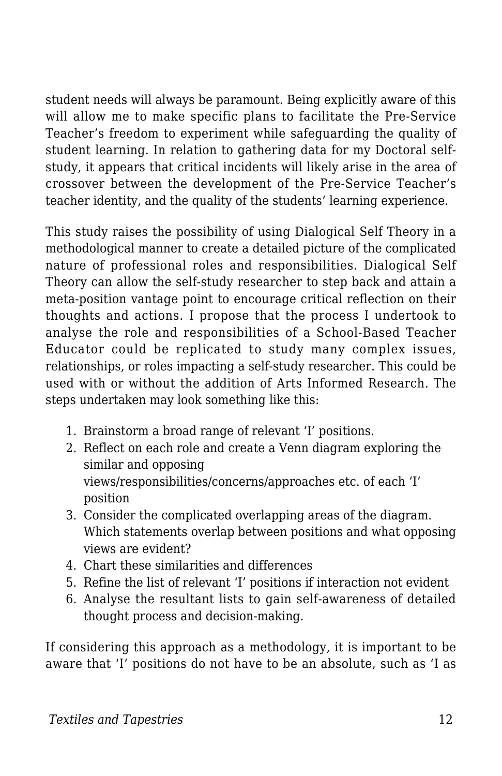student needs will always be paramount. Being explicitly aware of this will allow me to make specific plans to facilitate the Pre-Service Teacher's freedom to experiment while safeguarding the quality of student learning. In relation to gathering data for my Doctoral selfstudy, it appears that critical incidents will likely arise in the area of crossover between the development of the Pre-Service Teacher's teacher identity, and the quality of the students' learning experience.

This study raises the possibility of using Dialogical Self Theory in a methodological manner to create a detailed picture of the complicated nature of professional roles and responsibilities. Dialogical Self Theory can allow the self-study researcher to step back and attain a meta-position vantage point to encourage critical reflection on their thoughts and actions. I propose that the process I undertook to analyse the role and responsibilities of a School-Based Teacher Educator could be replicated to study many complex issues, relationships, or roles impacting a self-study researcher. This could be used with or without the addition of Arts Informed Research. The steps undertaken may look something like this:

- 1. Brainstorm a broad range of relevant 'I' positions.
- 2. Reflect on each role and create a Venn diagram exploring the similar and opposing views/responsibilities/concerns/approaches etc. of each 'I' position
- 3. Consider the complicated overlapping areas of the diagram. Which statements overlap between positions and what opposing views are evident?
- 4. Chart these similarities and differences
- 5. Refine the list of relevant 'I' positions if interaction not evident
- 6. Analyse the resultant lists to gain self-awareness of detailed thought process and decision-making.

If considering this approach as a methodology, it is important to be aware that 'I' positions do not have to be an absolute, such as 'I as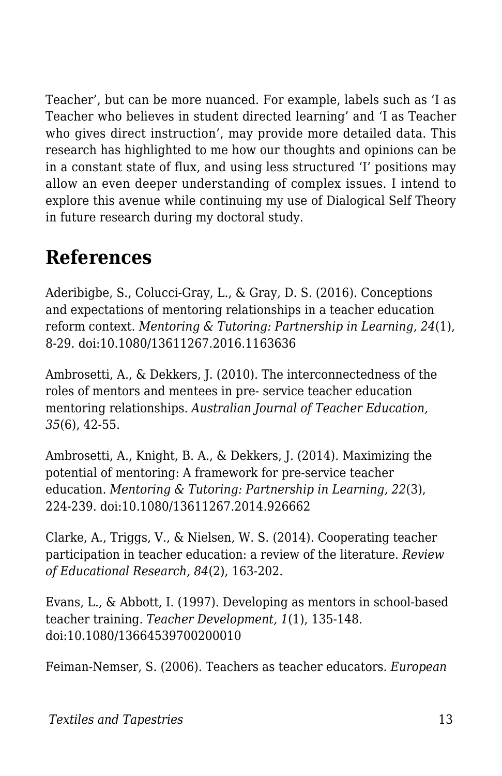Teacher', but can be more nuanced. For example, labels such as 'I as Teacher who believes in student directed learning' and 'I as Teacher who gives direct instruction', may provide more detailed data. This research has highlighted to me how our thoughts and opinions can be in a constant state of flux, and using less structured 'I' positions may allow an even deeper understanding of complex issues. I intend to explore this avenue while continuing my use of Dialogical Self Theory in future research during my doctoral study.

### **References**

Aderibigbe, S., Colucci-Gray, L., & Gray, D. S. (2016). Conceptions and expectations of mentoring relationships in a teacher education reform context. *Mentoring & Tutoring: Partnership in Learning, 24*(1), 8-29. doi:10.1080/13611267.2016.1163636

Ambrosetti, A., & Dekkers, J. (2010). The interconnectedness of the roles of mentors and mentees in pre- service teacher education mentoring relationships. *Australian Journal of Teacher Education, 35*(6), 42-55.

Ambrosetti, A., Knight, B. A., & Dekkers, J. (2014). Maximizing the potential of mentoring: A framework for pre-service teacher education. *Mentoring & Tutoring: Partnership in Learning, 22*(3), 224-239. doi:10.1080/13611267.2014.926662

Clarke, A., Triggs, V., & Nielsen, W. S. (2014). Cooperating teacher participation in teacher education: a review of the literature. *Review of Educational Research, 84*(2), 163-202.

Evans, L., & Abbott, I. (1997). Developing as mentors in school-based teacher training. *Teacher Development, 1*(1), 135-148. doi:10.1080/13664539700200010

Feiman-Nemser, S. (2006). Teachers as teacher educators. *European*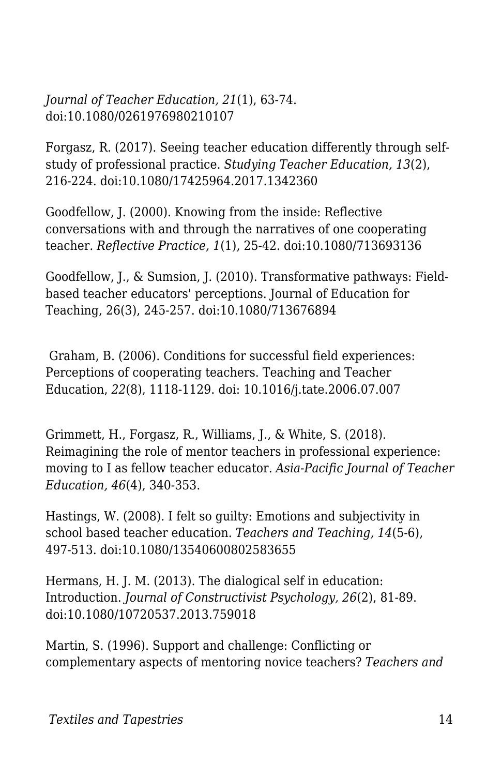*Journal of Teacher Education, 21*(1), 63-74. doi:10.1080/0261976980210107

Forgasz, R. (2017). Seeing teacher education differently through selfstudy of professional practice. *Studying Teacher Education, 13*(2), 216-224. doi:10.1080/17425964.2017.1342360

Goodfellow, J. (2000). Knowing from the inside: Reflective conversations with and through the narratives of one cooperating teacher. *Reflective Practice, 1*(1), 25-42. doi:10.1080/713693136

Goodfellow, J., & Sumsion, J. (2010). Transformative pathways: Fieldbased teacher educators' perceptions. Journal of Education for Teaching, 26(3), 245-257. doi:10.1080/713676894

 Graham, B. (2006). Conditions for successful field experiences: Perceptions of cooperating teachers. Teaching and Teacher Education, *22*(8), 1118-1129. doi: 10.1016/j.tate.2006.07.007

Grimmett, H., Forgasz, R., Williams, J., & White, S. (2018). Reimagining the role of mentor teachers in professional experience: moving to I as fellow teacher educator. *Asia-Pacific Journal of Teacher Education, 46*(4), 340-353.

Hastings, W. (2008). I felt so guilty: Emotions and subjectivity in school based teacher education. *Teachers and Teaching, 14*(5-6), 497-513. doi:10.1080/13540600802583655

Hermans, H. J. M. (2013). The dialogical self in education: Introduction. *Journal of Constructivist Psychology, 26*(2), 81-89. doi:10.1080/10720537.2013.759018

Martin, S. (1996). Support and challenge: Conflicting or complementary aspects of mentoring novice teachers? *Teachers and*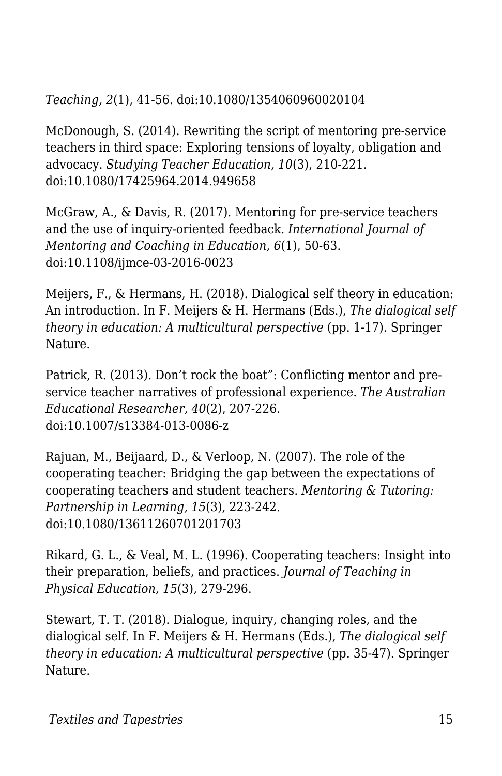*Teaching, 2*(1), 41-56. doi:10.1080/1354060960020104

McDonough, S. (2014). Rewriting the script of mentoring pre-service teachers in third space: Exploring tensions of loyalty, obligation and advocacy. *Studying Teacher Education, 10*(3), 210-221. doi:10.1080/17425964.2014.949658

McGraw, A., & Davis, R. (2017). Mentoring for pre-service teachers and the use of inquiry-oriented feedback. *International Journal of Mentoring and Coaching in Education, 6*(1), 50-63. doi:10.1108/ijmce-03-2016-0023

Meijers, F., & Hermans, H. (2018). Dialogical self theory in education: An introduction. In F. Meijers & H. Hermans (Eds.), *The dialogical self theory in education: A multicultural perspective* (pp. 1-17). Springer Nature.

Patrick, R. (2013). Don't rock the boat": Conflicting mentor and preservice teacher narratives of professional experience. *The Australian Educational Researcher, 40*(2), 207-226. doi:10.1007/s13384-013-0086-z

Rajuan, M., Beijaard, D., & Verloop, N. (2007). The role of the cooperating teacher: Bridging the gap between the expectations of cooperating teachers and student teachers. *Mentoring & Tutoring: Partnership in Learning, 15*(3), 223-242. doi:10.1080/13611260701201703

Rikard, G. L., & Veal, M. L. (1996). Cooperating teachers: Insight into their preparation, beliefs, and practices. *Journal of Teaching in Physical Education, 15*(3), 279-296.

Stewart, T. T. (2018). Dialogue, inquiry, changing roles, and the dialogical self. In F. Meijers & H. Hermans (Eds.), *The dialogical self theory in education: A multicultural perspective* (pp. 35-47). Springer Nature.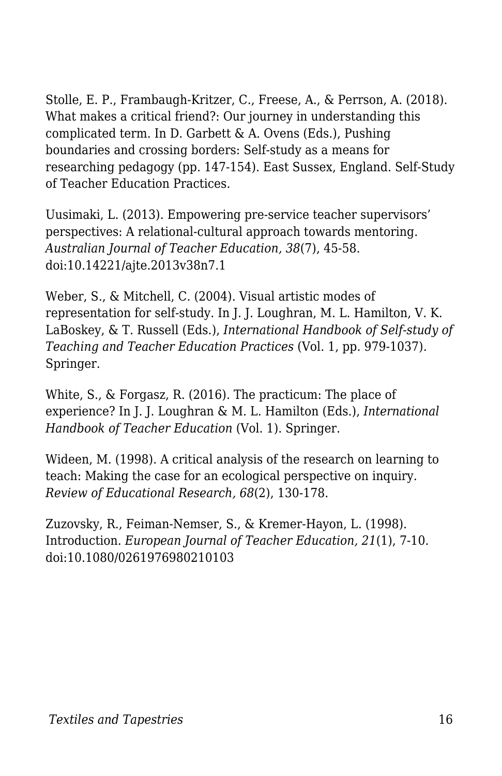Stolle, E. P., Frambaugh-Kritzer, C., Freese, A., & Perrson, A. (2018). What makes a critical friend?: Our journey in understanding this complicated term. In D. Garbett & A. Ovens (Eds.), Pushing boundaries and crossing borders: Self-study as a means for researching pedagogy (pp. 147-154). East Sussex, England. Self-Study of Teacher Education Practices.

Uusimaki, L. (2013). Empowering pre-service teacher supervisors' perspectives: A relational-cultural approach towards mentoring. *Australian Journal of Teacher Education, 38*(7), 45-58. doi:10.14221/ajte.2013v38n7.1

Weber, S., & Mitchell, C. (2004). Visual artistic modes of representation for self-study. In J. J. Loughran, M. L. Hamilton, V. K. LaBoskey, & T. Russell (Eds.), *International Handbook of Self-study of Teaching and Teacher Education Practices* (Vol. 1, pp. 979-1037). Springer.

White, S., & Forgasz, R. (2016). The practicum: The place of experience? In J. J. Loughran & M. L. Hamilton (Eds.), *International Handbook of Teacher Education* (Vol. 1). Springer.

Wideen, M. (1998). A critical analysis of the research on learning to teach: Making the case for an ecological perspective on inquiry. *Review of Educational Research, 68*(2), 130-178.

Zuzovsky, R., Feiman-Nemser, S., & Kremer-Hayon, L. (1998). Introduction. *European Journal of Teacher Education, 21*(1), 7-10. doi:10.1080/0261976980210103